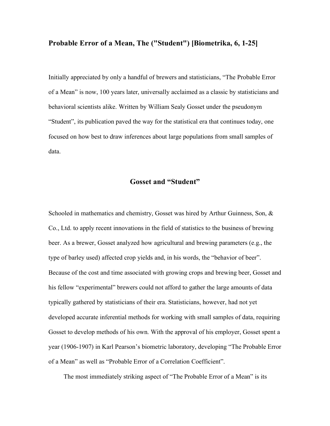### **Probable Error of a Mean, The ("Student") [Biometrika, 6, 1-25]**

Initially appreciated by only a handful of brewers and statisticians, "The Probable Error of a Mean" is now, 100 years later, universally acclaimed as a classic by statisticians and behavioral scientists alike. Written by William Sealy Gosset under the pseudonym "Student", its publication paved the way for the statistical era that continues today, one focused on how best to draw inferences about large populations from small samples of data.

# **Gosset and "Student"**

Schooled in mathematics and chemistry, Gosset was hired by Arthur Guinness, Son, & Co., Ltd. to apply recent innovations in the field of statistics to the business of brewing beer. As a brewer, Gosset analyzed how agricultural and brewing parameters (e.g., the type of barley used) affected crop yields and, in his words, the "behavior of beer". Because of the cost and time associated with growing crops and brewing beer, Gosset and his fellow "experimental" brewers could not afford to gather the large amounts of data typically gathered by statisticians of their era. Statisticians, however, had not yet developed accurate inferential methods for working with small samples of data, requiring Gosset to develop methods of his own. With the approval of his employer, Gosset spent a year (1906-1907) in Karl Pearson's biometric laboratory, developing "The Probable Error of a Mean" as well as "Probable Error of a Correlation Coefficient".

The most immediately striking aspect of "The Probable Error of a Mean" is its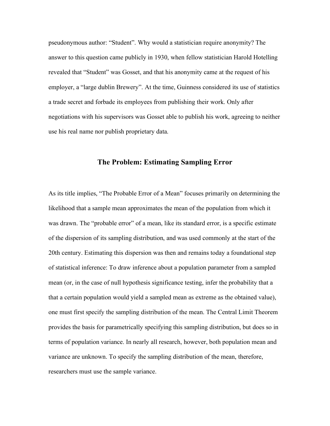pseudonymous author: "Student". Why would a statistician require anonymity? The answer to this question came publicly in 1930, when fellow statistician Harold Hotelling revealed that "Student" was Gosset, and that his anonymity came at the request of his employer, a "large dublin Brewery". At the time, Guinness considered its use of statistics a trade secret and forbade its employees from publishing their work. Only after negotiations with his supervisors was Gosset able to publish his work, agreeing to neither use his real name nor publish proprietary data.

## **The Problem: Estimating Sampling Error**

As its title implies, "The Probable Error of a Mean" focuses primarily on determining the likelihood that a sample mean approximates the mean of the population from which it was drawn. The "probable error" of a mean, like its standard error, is a specific estimate of the dispersion of its sampling distribution, and was used commonly at the start of the 20th century. Estimating this dispersion was then and remains today a foundational step of statistical inference: To draw inference about a population parameter from a sampled mean (or, in the case of null hypothesis significance testing, infer the probability that a that a certain population would yield a sampled mean as extreme as the obtained value), one must first specify the sampling distribution of the mean. The Central Limit Theorem provides the basis for parametrically specifying this sampling distribution, but does so in terms of population variance. In nearly all research, however, both population mean and variance are unknown. To specify the sampling distribution of the mean, therefore, researchers must use the sample variance.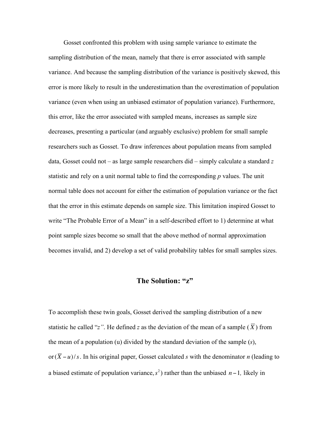Gosset confronted this problem with using sample variance to estimate the sampling distribution of the mean, namely that there is error associated with sample variance. And because the sampling distribution of the variance is positively skewed, this error is more likely to result in the underestimation than the overestimation of population variance (even when using an unbiased estimator of population variance). Furthermore, this error, like the error associated with sampled means, increases as sample size decreases, presenting a particular (and arguably exclusive) problem for small sample researchers such as Gosset. To draw inferences about population means from sampled data, Gosset could not – as large sample researchers did – simply calculate a standard *z* statistic and rely on a unit normal table to find the corresponding *p* values. The unit normal table does not account for either the estimation of population variance or the fact that the error in this estimate depends on sample size. This limitation inspired Gosset to write "The Probable Error of a Mean" in a self-described effort to 1) determine at what point sample sizes become so small that the above method of normal approximation becomes invalid, and 2) develop a set of valid probability tables for small samples sizes.

## **The Solution: "z"**

To accomplish these twin goals, Gosset derived the sampling distribution of a new statistic he called "*z*". He defined *z* as the deviation of the mean of a sample  $(\overline{X})$  from or  $(\overline{X} - u)/s$ . In his original paper, Gosset calculated *s* with the denominator *n* (leading to the mean of a population (u) divided by the standard deviation of the sample (*s*), a biased estimate of population variance,  $s^2$ ) rather than the unbiased  $n-1$ , likely in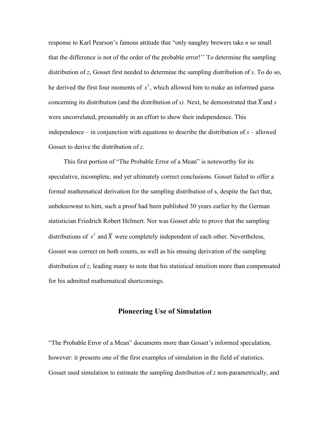response to Karl Pearson's famous attitude that "only naughty brewers take *n* so small that the difference is not of the order of the probable error!'' To determine the sampling distribution of *z*, Gosset first needed to determine the sampling distribution of *s*. To do so, he derived the first four moments of  $s^2$ , which allowed him to make an informed guess were uncorrelated, presumably in an effort to show their independence. This concerning its distribution (and the distribution of  $s$ ). Next, he demonstrated that  $\overline{X}$  and  $s$ independence – in conjunction with equations to describe the distribution of  $s$  – allowed Gosset to derive the distribution of *z*.

This first portion of "The Probable Error of a Mean" is noteworthy for its speculative, incomplete, and yet ultimately correct conclusions. Gosset failed to offer a formal mathematical derivation for the sampling distribution of s, despite the fact that, unbeknownst to him, such a proof had been published 30 years earlier by the German statistician Friedrich Robert Helmert. Nor was Gosset able to prove that the sampling distributions of  $s^2$  and  $\overline{X}$  were completely independent of each other. Nevertheless, distribution of *z*, leading many to note that his statistical intuition more than compensated Gosset was correct on both counts, as well as his ensuing derivation of the sampling for his admitted mathematical shortcomings.

# **Pioneering Use of Simulation**

"The Probable Error of a Mean" documents more than Gosset's informed speculation, however: it presents one of the first examples of simulation in the field of statistics. Gosset used simulation to estimate the sampling distribution of *z* non-parametrically, and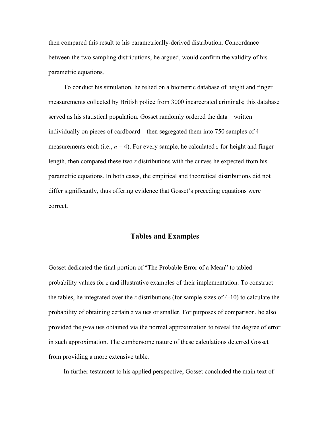then compared this result to his parametrically-derived distribution. Concordance between the two sampling distributions, he argued, would confirm the validity of his parametric equations.

To conduct his simulation, he relied on a biometric database of height and finger measurements collected by British police from 3000 incarcerated criminals; this database served as his statistical population. Gosset randomly ordered the data – written individually on pieces of cardboard – then segregated them into 750 samples of 4 measurements each (i.e.,  $n = 4$ ). For every sample, he calculated *z* for height and finger length, then compared these two *z* distributions with the curves he expected from his parametric equations. In both cases, the empirical and theoretical distributions did not differ significantly, thus offering evidence that Gosset's preceding equations were correct.

#### **Tables and Examples**

Gosset dedicated the final portion of "The Probable Error of a Mean" to tabled probability values for *z* and illustrative examples of their implementation. To construct the tables, he integrated over the *z* distributions (for sample sizes of 4-10) to calculate the probability of obtaining certain *z* values or smaller. For purposes of comparison, he also provided the *p*-values obtained via the normal approximation to reveal the degree of error in such approximation. The cumbersome nature of these calculations deterred Gosset from providing a more extensive table.

In further testament to his applied perspective, Gosset concluded the main text of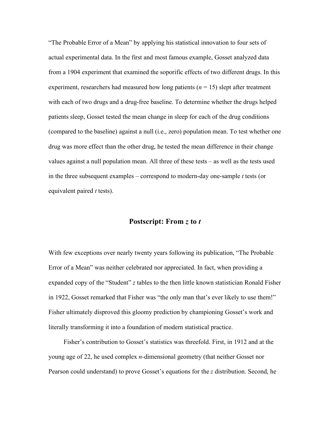"The Probable Error of a Mean" by applying his statistical innovation to four sets of actual experimental data. In the first and most famous example, Gosset analyzed data from a 1904 experiment that examined the soporific effects of two different drugs. In this experiment, researchers had measured how long patients (*n* = 15) slept after treatment with each of two drugs and a drug-free baseline. To determine whether the drugs helped patients sleep, Gosset tested the mean change in sleep for each of the drug conditions (compared to the baseline) against a null (i.e., zero) population mean. To test whether one drug was more effect than the other drug, he tested the mean difference in their change values against a null population mean. All three of these tests – as well as the tests used in the three subsequent examples – correspond to modern-day one-sample *t* tests (or equivalent paired *t* tests).

### **Postscript: From** *z* **to** *t*

With few exceptions over nearly twenty years following its publication, "The Probable Error of a Mean" was neither celebrated nor appreciated. In fact, when providing a expanded copy of the "Student" *z* tables to the then little known statistician Ronald Fisher in 1922, Gosset remarked that Fisher was "the only man that's ever likely to use them!" Fisher ultimately disproved this gloomy prediction by championing Gosset's work and literally transforming it into a foundation of modern statistical practice.

Fisher's contribution to Gosset's statistics was threefold. First, in 1912 and at the young age of 22, he used complex *n-*dimensional geometry (that neither Gosset nor Pearson could understand) to prove Gosset's equations for the *z* distribution. Second, he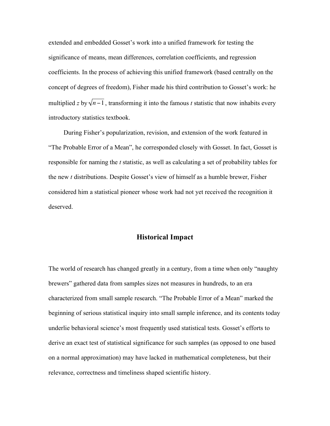extended and embedded Gosset's work into a unified framework for testing the significance of means, mean differences, correlation coefficients, and regression coefficients. In the process of achieving this unified framework (based centrally on the concept of degrees of freedom), Fisher made his third contribution to Gosset's work: he multiplied  $z$  by  $\sqrt{n-1}$ , transforming it into the famous  $t$  statistic that now inhabits every introductory statistics textbook.

! During Fisher's popularization, revision, and extension of the work featured in "The Probable Error of a Mean", he corresponded closely with Gosset. In fact, Gosset is responsible for naming the *t* statistic, as well as calculating a set of probability tables for the new *t* distributions. Despite Gosset's view of himself as a humble brewer, Fisher considered him a statistical pioneer whose work had not yet received the recognition it deserved.

# **Historical Impact**

The world of research has changed greatly in a century, from a time when only "naughty brewers" gathered data from samples sizes not measures in hundreds, to an era characterized from small sample research. "The Probable Error of a Mean" marked the beginning of serious statistical inquiry into small sample inference, and its contents today underlie behavioral science's most frequently used statistical tests. Gosset's efforts to derive an exact test of statistical significance for such samples (as opposed to one based on a normal approximation) may have lacked in mathematical completeness, but their relevance, correctness and timeliness shaped scientific history.